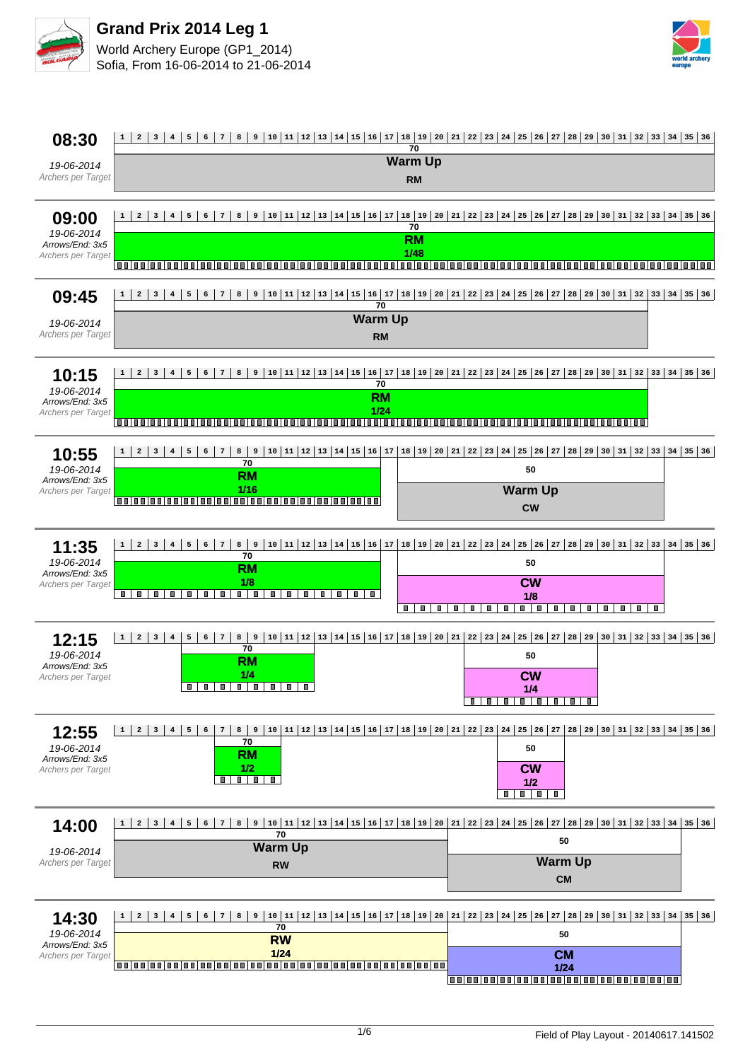



| 08:30                                                        | 6 7 8 9 10 11 12 13 14 15 16 17 18 19 20 21 22 23 24 25 26 27 28 29 30 31 32 33 34 35 36<br>$4 \mid 5 \mid$<br>$1 \mid 2$<br>$3 \mid$<br>70                                                                                                                                                                                                                     |
|--------------------------------------------------------------|-----------------------------------------------------------------------------------------------------------------------------------------------------------------------------------------------------------------------------------------------------------------------------------------------------------------------------------------------------------------|
| 19-06-2014<br>Archers per Target                             | <b>Warm Up</b><br><b>RM</b>                                                                                                                                                                                                                                                                                                                                     |
| 09:00<br>19-06-2014<br>Arrows/End: 3x5<br>Archers per Target | 10  11  12  13  14  15  16  17  18  19  20  21  22  23  24  25  26  27  28  29  30  31  32  33  34  35  36<br>8<br>9<br>3<br>5<br>6<br>$7\phantom{.0}$<br>$\overline{\mathbf{4}}$<br>70<br><b>RM</b><br>1/48<br>000000<br>00 00 00 00<br>1 m m 1 m m<br><b>00100100100</b><br>1 O O<br>88 B<br>1 N N<br>1 O O<br>mп<br>88 B                                     |
| 09:45<br>19-06-2014<br>Archers per Target                    | 10   11   12   13   14   15   16   17   18   19   20   21   22   23   24   25   26   27   28   29   30   31   32   33   34   35   36<br>$\overline{a}$<br>$\mathbf{3}$<br>8<br>9<br>$1 \mid$<br>$\overline{4}$<br>5<br>6<br>$\sqrt{7}$<br>70<br><b>Warm Up</b><br><b>RM</b>                                                                                     |
| 10:15<br>19-06-2014<br>Arrows/End: 3x5<br>Archers per Target | 10  11  12  13  14  15  16  17  18  19  20  21  22  23  24  25  26  27  28  29  30  31  32  33  34  35  36<br>9<br>$1 \vert$<br>$\overline{a}$<br>3<br>$\overline{\mathbf{4}}$<br>5<br>6<br>$\overline{7}$<br>8<br>70<br><b>RM</b><br>1/24<br>000000000000000000000000<br>1001001001001<br>mm<br>n n i n n<br>mm<br>000000000000<br>m m<br>88 M<br>n n i<br>m m |
| 10:55<br>19-06-2014<br>Arrows/End: 3x5<br>Archers per Target | $10 11 12 13 14 15 16 17 18 19 20 21 22 23 24 25 26 27$<br>$28   29   30   31   32   33   34   35   36$<br>8 <sup>1</sup><br>9<br>$1 \mid$<br>$\mathbf{2}$<br>3<br>$4\phantom{1}$<br>5<br>6<br>7<br>70<br>50<br><b>RM</b><br><b>Warm Up</b><br>1/16<br><b>CW</b>                                                                                                |
| 11:35<br>19-06-2014<br>Arrows/End: 3x5<br>Archers per Target | $\overline{5}$<br>$6 \mid$<br>$7\phantom{.0}$<br>$8 \mid$<br>9<br>$1 \mid$<br>$\overline{a}$<br>3 <sup>1</sup><br>4<br>70<br>50<br><b>RM</b><br>1/8<br><b>CW</b><br>$\blacksquare$<br>T<br>П<br>п<br>п<br>10 D<br>$\blacksquare$<br>ш<br>ш<br>П<br>п<br>ш.<br>П<br>1/8<br>П<br>П<br>T<br>ш<br>о<br>о<br>0<br>п<br>о<br>0<br>ш<br>Ш<br>0<br>0<br>п.              |
| 12:15<br>19-06-2014<br>Arrows/End: 3x5<br>Archers per Target | $1 \mid 2 \mid$<br>3 <sup>1</sup><br>$\bf{4}$<br>${\bf 5}$<br>$6 \mid$<br>7 <br>8<br>9<br>$\overline{70}$<br>50<br><b>RM</b><br>1/4<br><b>CW</b><br>$\blacksquare$<br>.<br>ш<br>,,,,,,,<br>1/4<br>.<br>$\Box$                                                                                                                                                   |
| 12:55<br>19-06-2014<br>Arrows/End: 3x5<br>Archers per Target | $ 10 11 12 13 14 15 16 17 18 19 20 21 22 23 24 25 26 27$<br>  28   29   30   31   32   33   34   35   36<br>$1 \mid 2$<br>3 <br>$4 \mid 5 \mid$<br>$8 \mid 9$<br>$\epsilon$<br>$\overline{7}$<br>70<br>50<br><b>RM</b><br>1/2<br><b>CW</b><br>$\blacksquare$<br>0<br>1/2<br>$\blacksquare$<br>$\blacksquare$<br>$\blacksquare$                                  |
| 14:00<br>19-06-2014<br>Archers per Target                    | 6 7 8 9 10 11 12 13 14 15 16 17 18 19 20 21 22 23 24 25 26 27 28 29 30 31 32 33 34 35 36<br>$4 \mid 5 \mid$<br>$1 \mid 2 \mid 3 \mid$<br>70<br>50<br><b>Warm Up</b><br><b>Warm Up</b><br><b>RW</b><br><b>CM</b>                                                                                                                                                 |
| 14:30<br>19-06-2014<br>Arrows/End: 3x5<br>Archers per Target | 70<br>50<br><b>RW</b><br>$1/24$<br><b>CM</b><br>$1/24$<br>000000000000000000000000000000                                                                                                                                                                                                                                                                        |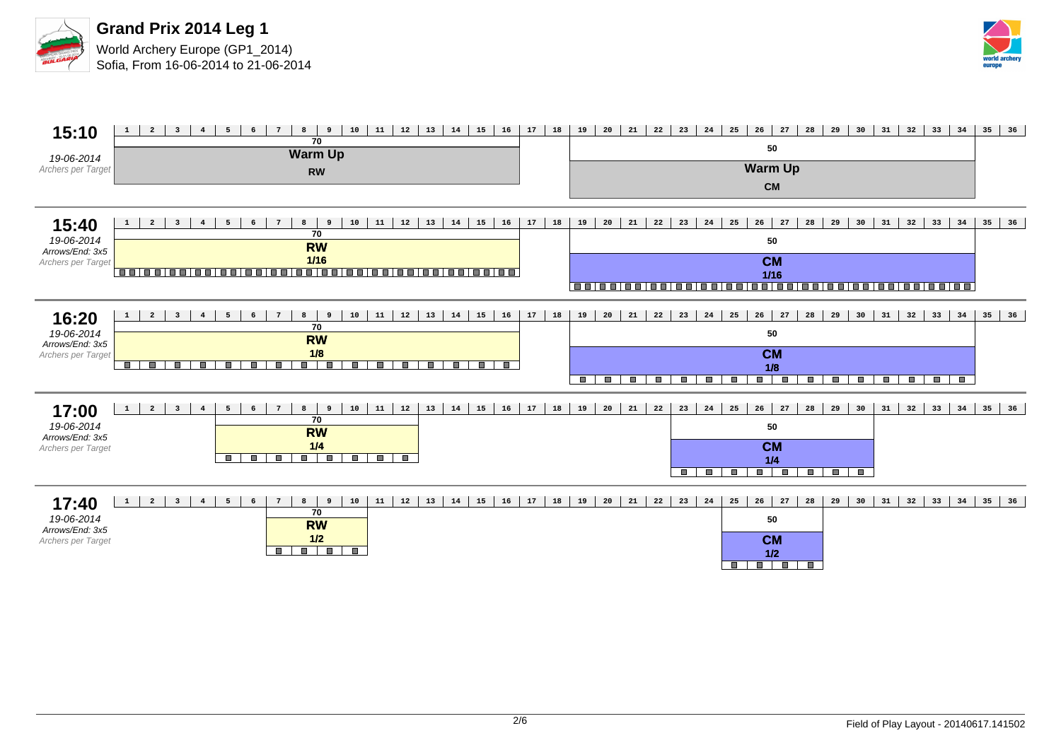



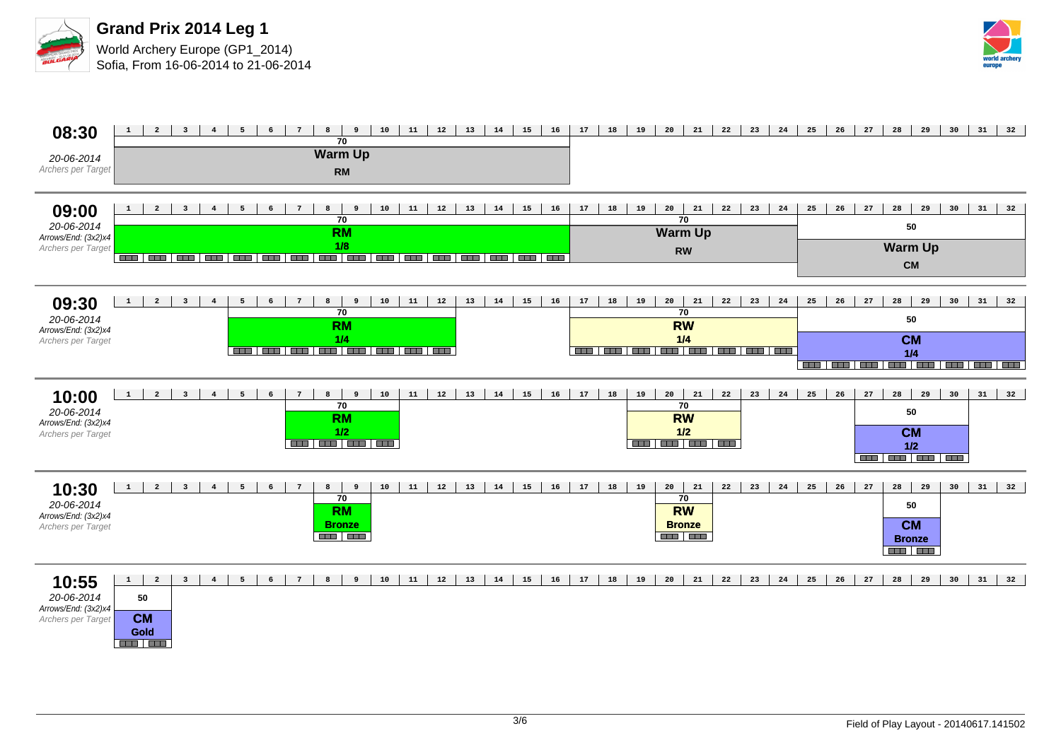



| 08:30<br>20-06-2014<br>Archers per Target                        | 11<br>12<br>13<br>$\overline{a}$<br>$\overline{\mathbf{3}}$<br>$\overline{4}$<br>5<br>$6\overline{6}$<br>$\overline{7}$<br>8<br>10<br>14<br>15<br>16<br>$\mathbf{1}$<br>9<br>70<br><b>Warm Up</b><br><b>RM</b>                                | 17<br>18<br>19<br>20<br>21<br>22<br>23<br>24                                                       | 25<br>26<br>27<br>28<br>29<br>30<br>31<br>32                                                             |
|------------------------------------------------------------------|-----------------------------------------------------------------------------------------------------------------------------------------------------------------------------------------------------------------------------------------------|----------------------------------------------------------------------------------------------------|----------------------------------------------------------------------------------------------------------|
| 09:00<br>20-06-2014<br>Arrows/End: (3x2)x4<br>Archers per Target | $\overline{a}$<br>$\overline{\mathbf{3}}$<br>$7\overline{ }$<br>11<br>12<br>13<br>14<br>15<br>$\mathbf{1}$<br>$4\overline{ }$<br>5<br>$6\overline{6}$<br>8<br>10<br>16<br>9<br>$\overline{70}$<br><b>RM</b><br>1/8                            | 17<br>18<br>19<br>20<br>21<br>22<br>23<br>24<br>$\overline{70}$<br><b>Warm Up</b><br><b>RW</b>     | 28<br>25<br>26<br>27<br>29<br>30<br>31<br>32<br>50<br><b>Warm Up</b><br>CM                               |
| 09:30<br>20-06-2014<br>Arrows/End: (3x2)x4<br>Archers per Target | 10<br>11<br>12<br>13<br>14<br>15<br>16<br>$\mathbf{1}$<br>$\overline{a}$<br>$\overline{\mathbf{3}}$<br>$\overline{4}$<br>5 <sub>5</sub><br>$6\overline{6}$<br>$7\overline{ }$<br>8<br>9<br>70<br><b>RM</b><br>1/4                             | 18<br>19<br>20<br>21<br>22<br>23<br>24<br>17<br>70<br><b>RW</b><br>1/4                             | $31 \mid 32$<br>25<br>26<br>${\bf 27}$<br>28<br>29<br>30<br>50<br><b>CM</b><br>1/4                       |
| 10:00<br>20-06-2014<br>Arrows/End: (3x2)x4<br>Archers per Target | 11<br>12<br>13<br>14<br>16<br>$\mathbf 1$<br>$\overline{a}$<br>$\overline{\mathbf{3}}$<br>$5\overline{5}$<br>10<br>15<br>$\overline{4}$<br>$\epsilon$<br>$7\overline{ }$<br>8<br>9<br>70<br><b>RM</b><br>1/2<br><u> 222   222   222   222</u> | 17<br>18<br>19<br>20<br>21<br>24<br>22<br>23<br>70<br><b>RW</b><br>$1/2$<br>----------             | 25<br>28<br>29<br>30<br>32<br>26<br>27<br>31<br>50<br><b>CM</b><br>$1/2$<br><b>CHE   CHE   CHE   CHE</b> |
| 10:30<br>20-06-2014<br>Arrows/End: (3x2)x4<br>Archers per Target | 11<br>$\overline{a}$<br>$7\overline{ }$<br>$10$<br>12<br>13<br>14<br>15<br>16<br>$\mathbf 1$<br>$\overline{\mathbf{3}}$<br>$\overline{4}$<br>5<br>$\epsilon$<br>8<br>9<br>70<br><b>RM</b><br><b>Bronze</b><br><b>BEER BEER</b>                | 17<br>18<br>19<br>20<br>21<br>22<br>23<br>24<br>70<br><b>RW</b><br><b>Bronze</b><br><b>AND AND</b> | 25<br>26<br>27<br>28<br>29<br>30<br>31<br>32<br>50<br><b>CM</b><br><b>Bronze</b><br><b>BEE BEE</b>       |
| 10:55<br>20-06-2014<br>Arrows/End: (3x2)x4<br>Archers per Target | $\mathbf{3}$<br>11<br>12<br>13<br>$1 \mid$<br>$\overline{\mathbf{2}}$<br>$4\overline{ }$<br>8<br>10<br>14<br>15<br>16<br>5<br>6<br>$7\overline{ }$<br>9<br>50<br><b>CM</b><br>Gold<br><u>and the</u>                                          | 24<br>17<br>18<br>19<br>20<br>21<br>22<br>23                                                       | 25<br>28<br>26<br>27<br>29<br>30<br>31<br>32                                                             |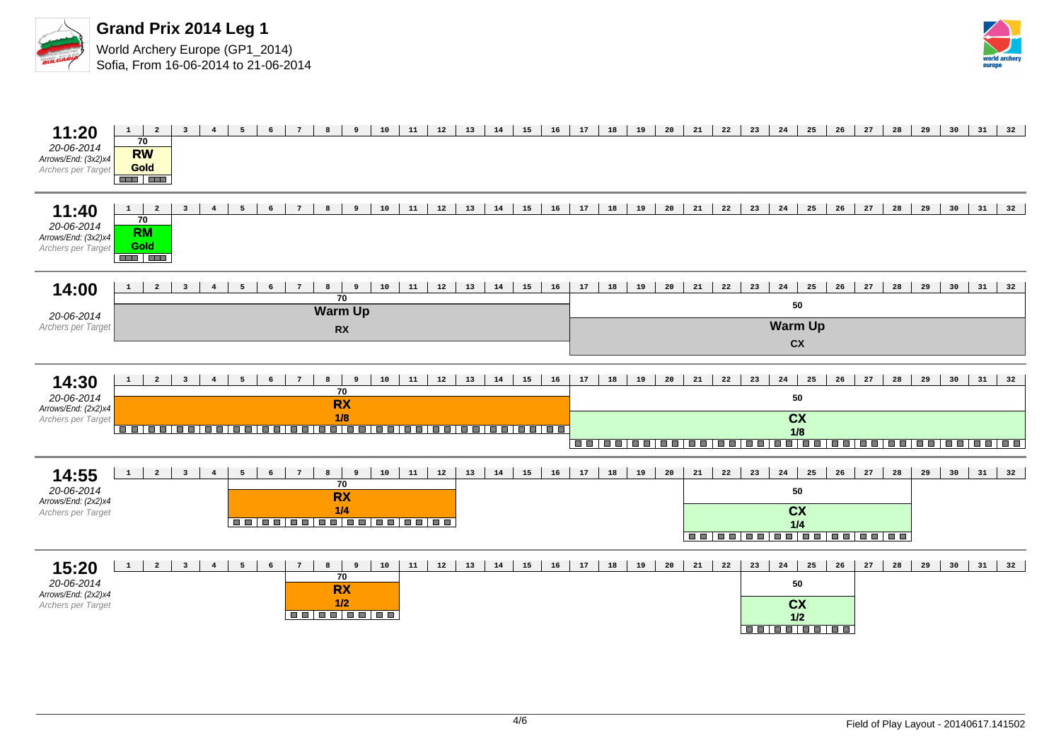



| 11:20<br>20-06-2014<br>Arrows/End: (3x2)x4<br>Archers per Target | $1 \mid$<br>$\overline{\mathbf{3}}$<br>$\overline{2}$<br>$4\overline{ }$<br>70<br><b>RW</b><br>Gold<br><b>AND AND</b>                           | 5<br>6                             | 9<br>10<br>8                                                                                          | 11<br>12<br>13 | 14<br>15 | 16<br>17             | 18<br>19<br>20 | 21 | 22<br>23<br>24                      | 25                                                 | 26<br>27         | 28<br>29 | 30 | 31<br>32             |  |  |  |  |  |
|------------------------------------------------------------------|-------------------------------------------------------------------------------------------------------------------------------------------------|------------------------------------|-------------------------------------------------------------------------------------------------------|----------------|----------|----------------------|----------------|----|-------------------------------------|----------------------------------------------------|------------------|----------|----|----------------------|--|--|--|--|--|
| 11:40<br>20-06-2014<br>Arrows/End: (3x2)x4<br>Archers per Target | $\overline{\mathbf{3}}$<br>$\overline{\mathbf{2}}$<br>$\mathbf{1}$<br>$\overline{4}$<br>$\overline{70}$<br><b>RM</b><br>Gold<br><b>THE LEAD</b> | 5<br>6<br>$\overline{7}$           | $10$<br>8<br>9                                                                                        | 11<br>12<br>13 | 14<br>15 | 16<br>17             | 18<br>19<br>20 | 21 | 22<br>23<br>24                      | 25                                                 | 26<br>${\bf 27}$ | 28<br>29 | 30 | 31<br>32             |  |  |  |  |  |
| 14:00<br>20-06-2014                                              | $\overline{a}$<br>$\mathbf{1}$<br>$\overline{\mathbf{3}}$                                                                                       |                                    | 8<br>10<br>$\overline{70}$<br><b>Warm Up</b>                                                          | 11<br>12<br>13 | 14<br>15 | 16<br>17             | 18<br>19<br>20 | 21 | 22<br>24<br>23                      | 25<br>50                                           | 27<br>26         | 28<br>29 | 30 | $31 \mid 32$         |  |  |  |  |  |
| Archers per Target                                               |                                                                                                                                                 |                                    | <b>RX</b>                                                                                             |                |          | <b>Warm Up</b><br>cx |                |    |                                     |                                                    |                  |          |    |                      |  |  |  |  |  |
| 14:30<br>20-06-2014<br>Arrows/End: (2x2)x4<br>Archers per Target | $\overline{a}$<br>$\mathbf{1}$<br>$\overline{\mathbf{3}}$<br>$\overline{4}$                                                                     | $7^{\circ}$<br>5<br>6              | 8<br>10<br>$\overline{9}$<br>$\overline{70}$<br><b>RX</b><br>1/8                                      | 11<br>12<br>13 | 14<br>15 | 16<br>17             | 18<br>19<br>20 | 21 | 22<br>23                            | 24<br>25<br>50<br><b>CX</b>                        | ${\bf 27}$<br>26 | 28<br>29 |    | $30 \mid 31 \mid 32$ |  |  |  |  |  |
|                                                                  | -------<br>$\blacksquare$                                                                                                                       | <b>EL E</b><br>88 88 8             | 100 00 00 00 00 00 00 00 00 00                                                                        |                |          |                      | ----------     |    | --------                            | 1/8<br><u>   = =   = =   = = </u>                  | $\blacksquare$   | <b>.</b> |    |                      |  |  |  |  |  |
| 14:55<br>20-06-2014<br>Arrows/End: (2x2)x4<br>Archers per Target | $\overline{a}$<br>$\mathbf{1}$<br>$\overline{\mathbf{3}}$<br>$\overline{4}$                                                                     | 5<br>6                             | 10<br>$8 \mid$<br>$\overline{9}$<br>$\overline{70}$<br><b>RX</b><br>1/4<br>00 00 00 00 00 00 00 00 00 | 11<br>12<br>13 | 14<br>15 | 16<br>17             | 18<br>19<br>20 | 21 | 24<br>22<br>23<br>----------------- | 25<br>50<br><b>CX</b><br>1/4                       | 26<br>27         | 28<br>29 | 30 | 31<br>32             |  |  |  |  |  |
| 15:20<br>20-06-2014<br>Arrows/End: (2x2)x4<br>Archers per Target | $\mathbf{1}$<br>$\overline{a}$<br>$\overline{\mathbf{3}}$<br>$\overline{4}$                                                                     | 5<br>$\epsilon$<br>$7\overline{ }$ | 8<br>10<br>9<br>$\overline{70}$<br><b>RX</b><br>$1/2$<br><b>.</b>                                     | 11<br>12<br>13 | 14<br>15 | 16<br>17             | 18<br>19<br>20 | 21 | 22<br>23<br>24                      | 25<br>50<br><b>CX</b><br>1/2<br><b>BB BB BB BB</b> | 26<br>27         | 28<br>29 | 30 | 31<br>32             |  |  |  |  |  |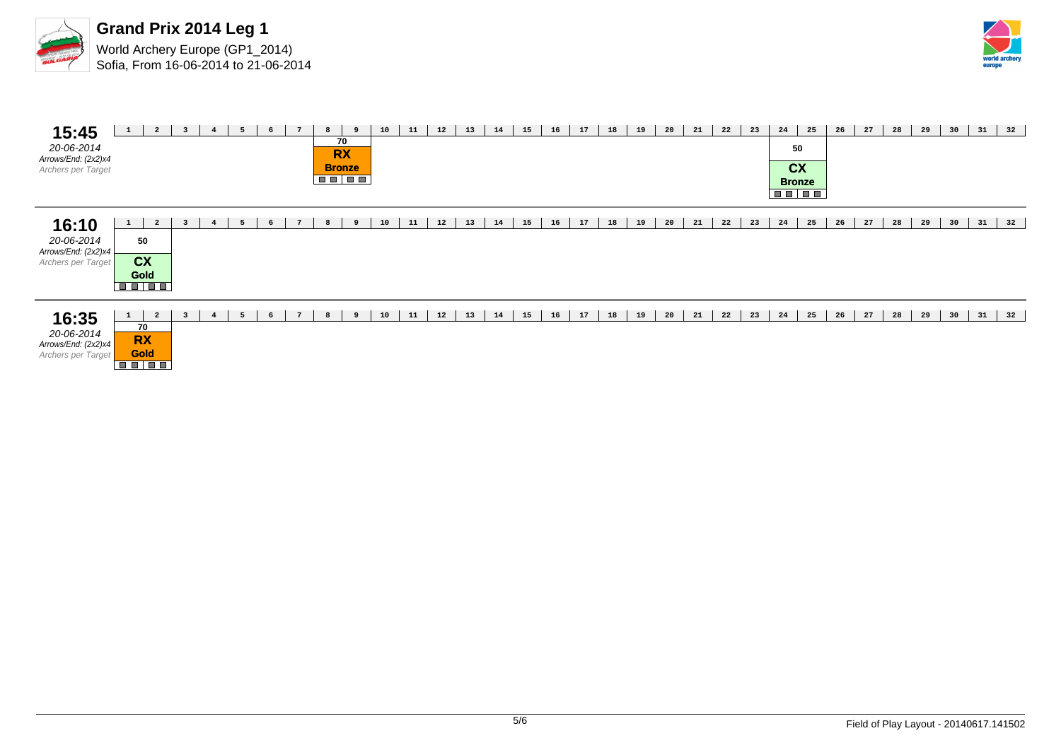



| 15:45<br>20-06-2014<br>Arrows/End: (2x2)x4<br>Archers per Target | $\mathbf{1}$ | $\overline{a}$                                            | $\overline{\mathbf{3}}$ | $\overline{4}$ | 5 | 6 | $\overline{7}$ | 8 | 9<br>70<br><b>RX</b><br><b>Bronze</b><br><b>BETER</b> | 10 | 11 | 12 | 13 | 14 | 15 | 16 | 17 | 18 | 19 | 20 | 21 | 22 | 23 | 24<br>50<br>cx<br><b>Bronze</b><br><b>BBIBB</b> | 25 | 26 | 27 | 28 | 29 | 30 | 31 | 32 |
|------------------------------------------------------------------|--------------|-----------------------------------------------------------|-------------------------|----------------|---|---|----------------|---|-------------------------------------------------------|----|----|----|----|----|----|----|----|----|----|----|----|----|----|-------------------------------------------------|----|----|----|----|----|----|----|----|
| 16:10<br>20-06-2014<br>Arrows/End: (2x2)x4<br>Archers per Target | $\mathbf{1}$ | $\overline{a}$<br>50<br>cx<br><b>Gold</b><br><b>BB BB</b> | $\overline{\mathbf{3}}$ | $\overline{4}$ | 5 | 6 | $\overline{7}$ | 8 | 9                                                     | 10 | 11 | 12 | 13 | 14 | 15 | 16 | 17 | 18 | 19 | 20 | 21 | 22 | 23 | 24                                              | 25 | 26 | 27 | 28 | 29 | 30 | 31 | 32 |
| 16:35<br>20-06-2014<br>Arrows/End: (2x2)x4<br>Archers per Target | $\mathbf{1}$ | $\overline{a}$<br>70<br><b>RX</b><br><b>Gold</b>          | $\overline{\mathbf{3}}$ | $\overline{4}$ | 5 | 6 | $7^{\circ}$    | 8 | 9                                                     | 10 | 11 | 12 | 13 | 14 | 15 | 16 | 17 | 18 | 19 | 20 | 21 | 22 | 23 | 24                                              | 25 | 26 | 27 | 28 | 29 | 30 | 31 | 32 |